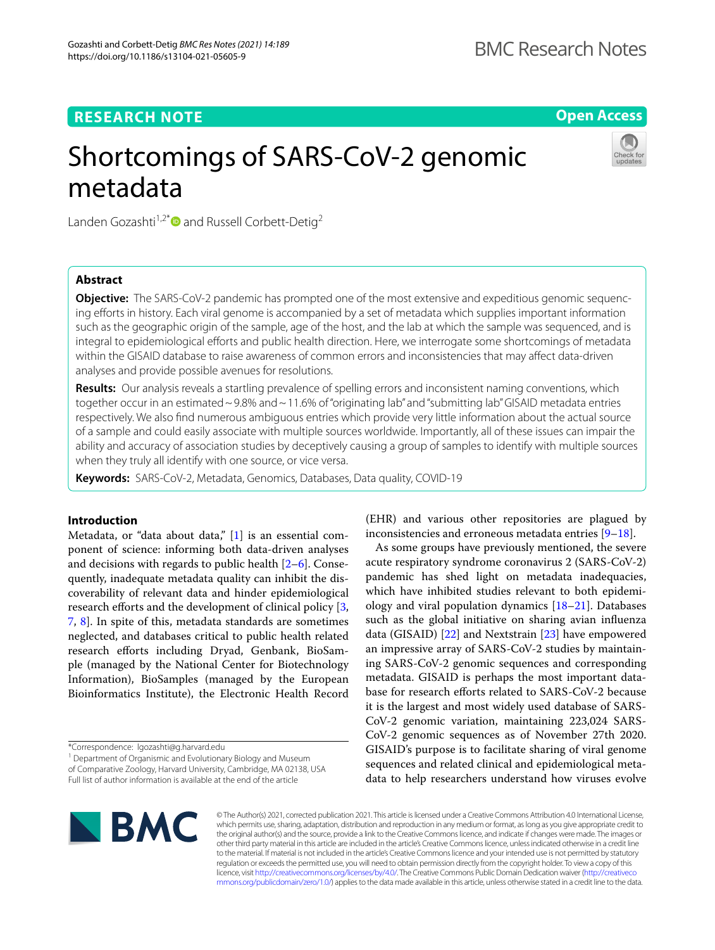## **RESEARCH NOTE**

**Open Access**

# Shortcomings of SARS-CoV-2 genomic metadata



Landen Gozashti<sup>1,2[\\*](http://orcid.org/0000-0001-6023-3138)</sup> and Russell Corbett-Detig<sup>2</sup>

## **Abstract**

**Objective:** The SARS-CoV-2 pandemic has prompted one of the most extensive and expeditious genomic sequencing eforts in history. Each viral genome is accompanied by a set of metadata which supplies important information such as the geographic origin of the sample, age of the host, and the lab at which the sample was sequenced, and is integral to epidemiological eforts and public health direction. Here, we interrogate some shortcomings of metadata within the GISAID database to raise awareness of common errors and inconsistencies that may afect data-driven analyses and provide possible avenues for resolutions.

**Results:** Our analysis reveals a startling prevalence of spelling errors and inconsistent naming conventions, which together occur in an estimated ~9.8% and ~11.6% of "originating lab" and "submitting lab" GISAID metadata entries respectively. We also fnd numerous ambiguous entries which provide very little information about the actual source of a sample and could easily associate with multiple sources worldwide. Importantly, all of these issues can impair the ability and accuracy of association studies by deceptively causing a group of samples to identify with multiple sources when they truly all identify with one source, or vice versa.

**Keywords:** SARS-CoV-2, Metadata, Genomics, Databases, Data quality, COVID-19

## **Introduction**

Metadata, or "data about data," [[1\]](#page-3-0) is an essential component of science: informing both data-driven analyses and decisions with regards to public health  $[2-6]$  $[2-6]$  $[2-6]$ . Consequently, inadequate metadata quality can inhibit the discoverability of relevant data and hinder epidemiological research efforts and the development of clinical policy [\[3](#page-3-3), [7,](#page-3-4) [8\]](#page-3-5). In spite of this, metadata standards are sometimes neglected, and databases critical to public health related research efforts including Dryad, Genbank, BioSample (managed by the National Center for Biotechnology Information), BioSamples (managed by the European Bioinformatics Institute), the Electronic Health Record

\*Correspondence: lgozashti@g.harvard.edu

<sup>1</sup> Department of Organismic and Evolutionary Biology and Museum of Comparative Zoology, Harvard University, Cambridge, MA 02138, USA Full list of author information is available at the end of the article

(EHR) and various other repositories are plagued by inconsistencies and erroneous metadata entries [[9–](#page-3-6)[18\]](#page-3-7).

As some groups have previously mentioned, the severe acute respiratory syndrome coronavirus 2 (SARS-CoV-2) pandemic has shed light on metadata inadequacies, which have inhibited studies relevant to both epidemiology and viral population dynamics [\[18–](#page-3-7)[21\]](#page-3-8). Databases such as the global initiative on sharing avian infuenza data (GISAID) [\[22](#page-3-9)] and Nextstrain [\[23](#page-3-10)] have empowered an impressive array of SARS-CoV-2 studies by maintaining SARS-CoV-2 genomic sequences and corresponding metadata. GISAID is perhaps the most important database for research efforts related to SARS-CoV-2 because it is the largest and most widely used database of SARS-CoV-2 genomic variation, maintaining 223,024 SARS-CoV-2 genomic sequences as of November 27th 2020. GISAID's purpose is to facilitate sharing of viral genome sequences and related clinical and epidemiological metadata to help researchers understand how viruses evolve



© The Author(s) 2021, corrected publication 2021. This article is licensed under a Creative Commons Attribution 4.0 International License, which permits use, sharing, adaptation, distribution and reproduction in any medium or format, as long as you give appropriate credit to the original author(s) and the source, provide a link to the Creative Commons licence, and indicate if changes were made. The images or other third party material in this article are included in the article's Creative Commons licence, unless indicated otherwise in a credit line to the material. If material is not included in the article's Creative Commons licence and your intended use is not permitted by statutory regulation or exceeds the permitted use, you will need to obtain permission directly from the copyright holder. To view a copy of this licence, visit [http://creativecommons.org/licenses/by/4.0/.](http://creativecommons.org/licenses/by/4.0/) The Creative Commons Public Domain Dedication waiver ([http://creativeco](http://creativecommons.org/publicdomain/zero/1.0/) [mmons.org/publicdomain/zero/1.0/](http://creativecommons.org/publicdomain/zero/1.0/)) applies to the data made available in this article, unless otherwise stated in a credit line to the data.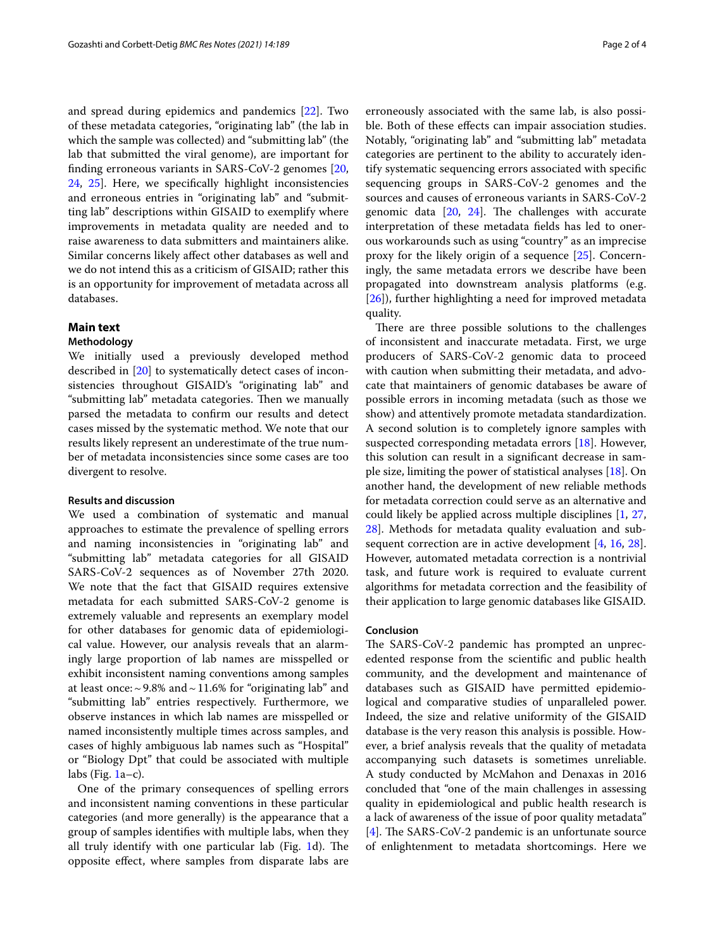and spread during epidemics and pandemics [[22](#page-3-9)]. Two of these metadata categories, "originating lab" (the lab in which the sample was collected) and "submitting lab" (the lab that submitted the viral genome), are important for fnding erroneous variants in SARS-CoV-2 genomes [\[20](#page-3-11), [24,](#page-3-12) [25\]](#page-3-13). Here, we specifcally highlight inconsistencies and erroneous entries in "originating lab" and "submitting lab" descriptions within GISAID to exemplify where improvements in metadata quality are needed and to raise awareness to data submitters and maintainers alike. Similar concerns likely afect other databases as well and we do not intend this as a criticism of GISAID; rather this is an opportunity for improvement of metadata across all databases.

## **Main text**

## **Methodology**

We initially used a previously developed method described in [[20](#page-3-11)] to systematically detect cases of inconsistencies throughout GISAID's "originating lab" and "submitting lab" metadata categories. Then we manually parsed the metadata to confrm our results and detect cases missed by the systematic method. We note that our results likely represent an underestimate of the true number of metadata inconsistencies since some cases are too divergent to resolve.

#### **Results and discussion**

We used a combination of systematic and manual approaches to estimate the prevalence of spelling errors and naming inconsistencies in "originating lab" and "submitting lab" metadata categories for all GISAID SARS-CoV-2 sequences as of November 27th 2020. We note that the fact that GISAID requires extensive metadata for each submitted SARS-CoV-2 genome is extremely valuable and represents an exemplary model for other databases for genomic data of epidemiological value. However, our analysis reveals that an alarmingly large proportion of lab names are misspelled or exhibit inconsistent naming conventions among samples at least once:  $\sim$  9.8% and  $\sim$  11.6% for "originating lab" and "submitting lab" entries respectively. Furthermore, we observe instances in which lab names are misspelled or named inconsistently multiple times across samples, and cases of highly ambiguous lab names such as "Hospital" or "Biology Dpt" that could be associated with multiple labs (Fig.  $1a-c$ ).

One of the primary consequences of spelling errors and inconsistent naming conventions in these particular categories (and more generally) is the appearance that a group of samples identifes with multiple labs, when they all truly identify with one particular lab (Fig. [1](#page-2-0)d). The opposite efect, where samples from disparate labs are

erroneously associated with the same lab, is also possible. Both of these efects can impair association studies. Notably, "originating lab" and "submitting lab" metadata categories are pertinent to the ability to accurately identify systematic sequencing errors associated with specifc sequencing groups in SARS-CoV-2 genomes and the sources and causes of erroneous variants in SARS-CoV-2 genomic data  $[20, 24]$  $[20, 24]$  $[20, 24]$ . The challenges with accurate interpretation of these metadata felds has led to onerous workarounds such as using "country" as an imprecise proxy for the likely origin of a sequence [[25\]](#page-3-13). Concerningly, the same metadata errors we describe have been propagated into downstream analysis platforms (e.g. [[26\]](#page-3-14)), further highlighting a need for improved metadata quality.

There are three possible solutions to the challenges of inconsistent and inaccurate metadata. First, we urge producers of SARS-CoV-2 genomic data to proceed with caution when submitting their metadata, and advocate that maintainers of genomic databases be aware of possible errors in incoming metadata (such as those we show) and attentively promote metadata standardization. A second solution is to completely ignore samples with suspected corresponding metadata errors [[18\]](#page-3-7). However, this solution can result in a signifcant decrease in sample size, limiting the power of statistical analyses [[18\]](#page-3-7). On another hand, the development of new reliable methods for metadata correction could serve as an alternative and could likely be applied across multiple disciplines [\[1](#page-3-0), [27](#page-3-15), [28\]](#page-3-16). Methods for metadata quality evaluation and sub-sequent correction are in active development [\[4](#page-3-17), [16](#page-3-18), [28](#page-3-16)]. However, automated metadata correction is a nontrivial task, and future work is required to evaluate current algorithms for metadata correction and the feasibility of their application to large genomic databases like GISAID.

### **Conclusion**

The SARS-CoV-2 pandemic has prompted an unprecedented response from the scientifc and public health community, and the development and maintenance of databases such as GISAID have permitted epidemiological and comparative studies of unparalleled power. Indeed, the size and relative uniformity of the GISAID database is the very reason this analysis is possible. However, a brief analysis reveals that the quality of metadata accompanying such datasets is sometimes unreliable. A study conducted by McMahon and Denaxas in 2016 concluded that "one of the main challenges in assessing quality in epidemiological and public health research is a lack of awareness of the issue of poor quality metadata" [[4\]](#page-3-17). The SARS-CoV-2 pandemic is an unfortunate source of enlightenment to metadata shortcomings. Here we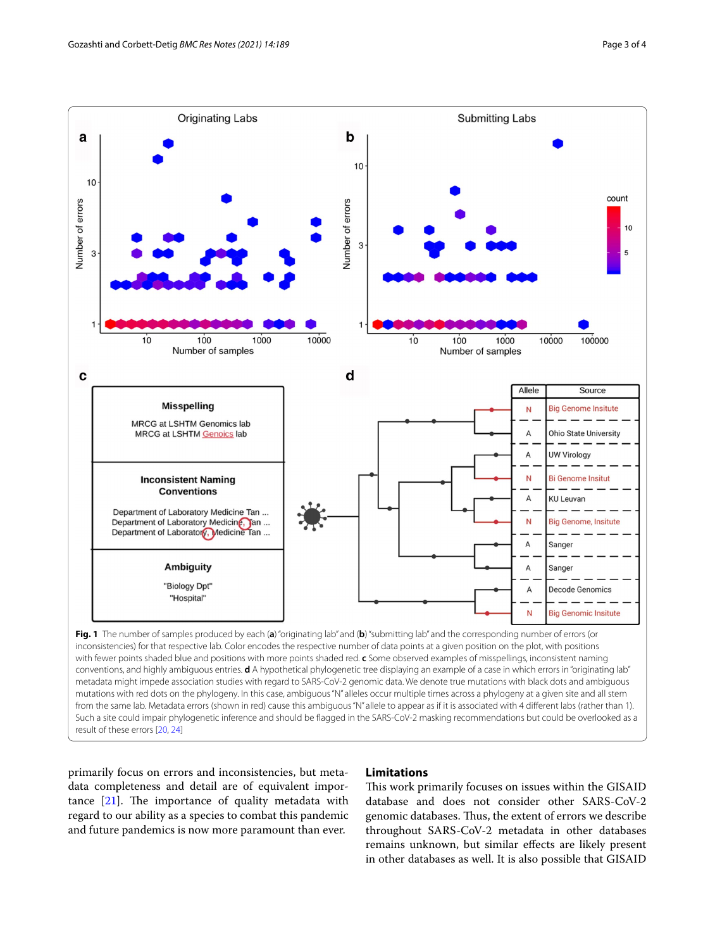

<span id="page-2-0"></span>primarily focus on errors and inconsistencies, but metadata completeness and detail are of equivalent importance  $[21]$  $[21]$ . The importance of quality metadata with regard to our ability as a species to combat this pandemic and future pandemics is now more paramount than ever.

## **Limitations**

This work primarily focuses on issues within the GISAID database and does not consider other SARS-CoV-2 genomic databases. Thus, the extent of errors we describe throughout SARS-CoV-2 metadata in other databases remains unknown, but similar efects are likely present in other databases as well. It is also possible that GISAID